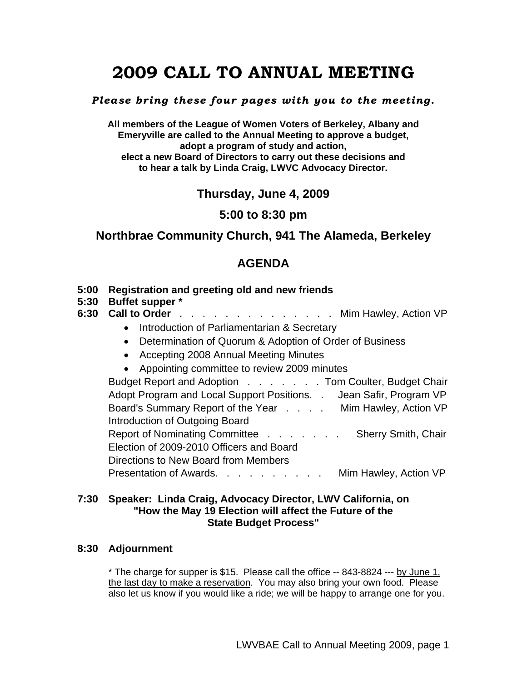# **2009 CALL TO ANNUAL MEETING**

#### *Please bring these four pages with you to the meeting.*

**All members of the League of Women Voters of Berkeley, Albany and Emeryville are called to the Annual Meeting to approve a budget, adopt a program of study and action, elect a new Board of Directors to carry out these decisions and to hear a talk by Linda Craig, LWVC Advocacy Director.**

# **Thursday, June 4, 2009**

## **5:00 to 8:30 pm**

# **Northbrae Community Church, 941 The Alameda, Berkeley**

# **AGENDA**

#### **5:00 Registration and greeting old and new friends**

**5:30 Buffet supper \*** 

## **6:30 Call to Order** . . . . . . . . . . . . . . Mim Hawley, Action VP

- Introduction of Parliamentarian & Secretary
- Determination of Quorum & Adoption of Order of Business
- Accepting 2008 Annual Meeting Minutes
- Appointing committee to review 2009 minutes

Budget Report and Adoption . . . . . . Tom Coulter, Budget Chair Adopt Program and Local Support Positions. . Jean Safir, Program VP Board's Summary Report of the Year . . . . Mim Hawley, Action VP Introduction of Outgoing Board Report of Nominating Committee . . . . . . . Sherry Smith, Chair Election of 2009-2010 Officers and Board Directions to New Board from Members Presentation of Awards. . . . . . . . . . Mim Hawley, Action VP

#### **7:30 Speaker: Linda Craig, Advocacy Director, LWV California, on "How the May 19 Election will affect the Future of the State Budget Process"**

#### **8:30 Adjournment**

 \* The charge for supper is \$15. Please call the office -- 843-8824 --- by June 1, the last day to make a reservation. You may also bring your own food. Please also let us know if you would like a ride; we will be happy to arrange one for you.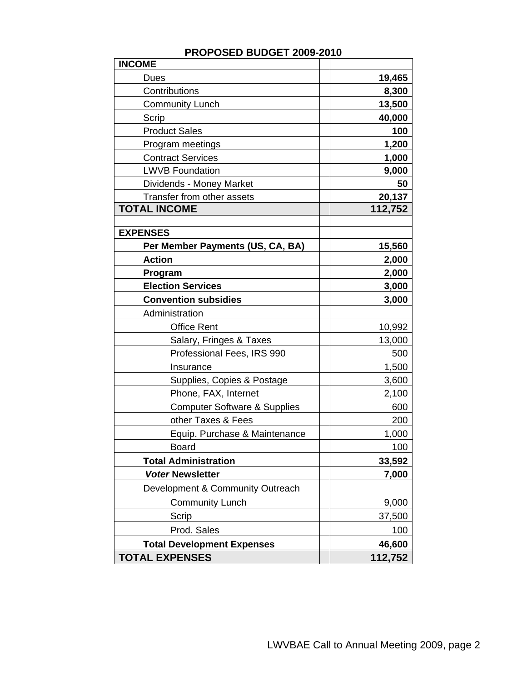| <b>INCOME</b>                           |         |
|-----------------------------------------|---------|
| Dues                                    | 19,465  |
| Contributions                           | 8,300   |
| <b>Community Lunch</b>                  | 13,500  |
| Scrip                                   | 40,000  |
| <b>Product Sales</b>                    | 100     |
| Program meetings                        | 1,200   |
| <b>Contract Services</b>                | 1,000   |
| <b>LWVB Foundation</b>                  | 9,000   |
| Dividends - Money Market                | 50      |
| Transfer from other assets              | 20,137  |
| <b>TOTAL INCOME</b>                     | 112,752 |
|                                         |         |
| <b>EXPENSES</b>                         |         |
| Per Member Payments (US, CA, BA)        | 15,560  |
| <b>Action</b>                           | 2,000   |
| Program                                 | 2,000   |
| <b>Election Services</b>                | 3,000   |
| <b>Convention subsidies</b>             | 3,000   |
| Administration                          |         |
| <b>Office Rent</b>                      | 10,992  |
| Salary, Fringes & Taxes                 | 13,000  |
| Professional Fees, IRS 990              | 500     |
| Insurance                               | 1,500   |
| Supplies, Copies & Postage              | 3,600   |
| Phone, FAX, Internet                    | 2,100   |
| <b>Computer Software &amp; Supplies</b> | 600     |
| other Taxes & Fees                      | 200     |
| Equip. Purchase & Maintenance           | 1,000   |
| <b>Board</b>                            | 100     |
| <b>Total Administration</b>             | 33,592  |
| <b>Voter Newsletter</b>                 | 7,000   |
| Development & Community Outreach        |         |
| <b>Community Lunch</b>                  | 9,000   |
| Scrip                                   | 37,500  |
| Prod. Sales                             | 100     |
| <b>Total Development Expenses</b>       | 46,600  |
| <b>TOTAL EXPENSES</b>                   | 112,752 |

## **PROPOSED BUDGET 2009-2010**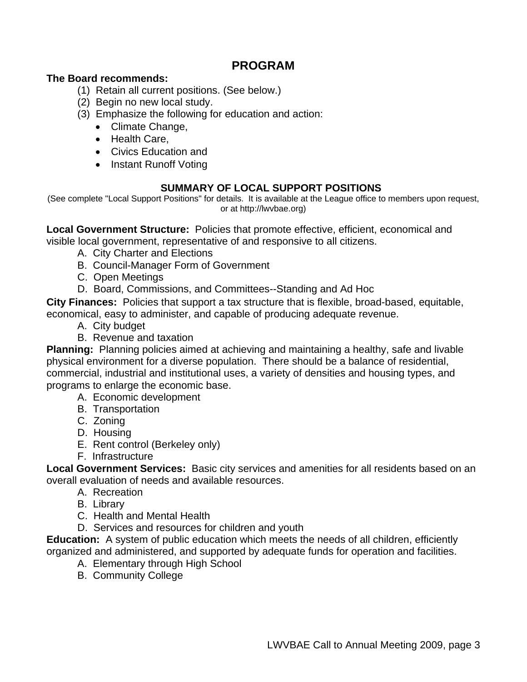# **PROGRAM**

## **The Board recommends:**

- (1) Retain all current positions. (See below.)
- (2) Begin no new local study.
- (3) Emphasize the following for education and action:
	- Climate Change,
	- Health Care,
	- Civics Education and
	- Instant Runoff Voting

## **SUMMARY OF LOCAL SUPPORT POSITIONS**

(See complete "Local Support Positions" for details. It is available at the League office to members upon request, or at http://lwvbae.org)

**Local Government Structure:** Policies that promote effective, efficient, economical and visible local government, representative of and responsive to all citizens.

- A. City Charter and Elections
- B. Council-Manager Form of Government
- C. Open Meetings
- D. Board, Commissions, and Committees--Standing and Ad Hoc

**City Finances:** Policies that support a tax structure that is flexible, broad-based, equitable, economical, easy to administer, and capable of producing adequate revenue.

- A. City budget
- B. Revenue and taxation

**Planning:** Planning policies aimed at achieving and maintaining a healthy, safe and livable physical environment for a diverse population. There should be a balance of residential, commercial, industrial and institutional uses, a variety of densities and housing types, and programs to enlarge the economic base.

- A. Economic development
- B. Transportation
- C. Zoning
- D. Housing
- E. Rent control (Berkeley only)
- F. Infrastructure

**Local Government Services:** Basic city services and amenities for all residents based on an overall evaluation of needs and available resources.

- A. Recreation
	- B. Library
	- C. Health and Mental Health
	- D. Services and resources for children and youth

**Education:** A system of public education which meets the needs of all children, efficiently organized and administered, and supported by adequate funds for operation and facilities.

- A. Elementary through High School
- B. Community College